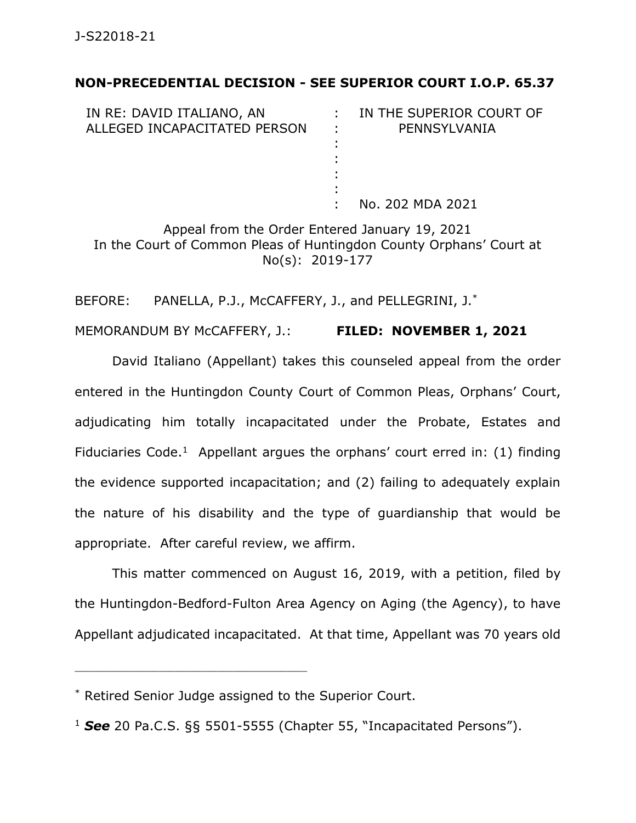## **NON-PRECEDENTIAL DECISION - SEE SUPERIOR COURT I.O.P. 65.37**

| IN RE: DAVID ITALIANO, AN    |                 | IN THE SUPERIOR COURT OF |
|------------------------------|-----------------|--------------------------|
| ALLEGED INCAPACITATED PERSON | <b>Contract</b> | PENNSYLVANIA             |
|                              |                 |                          |
|                              |                 |                          |
|                              |                 |                          |
|                              |                 |                          |
|                              |                 | No. 202 MDA 2021         |

Appeal from the Order Entered January 19, 2021 In the Court of Common Pleas of Huntingdon County Orphans' Court at No(s): 2019-177

BEFORE: PANELLA, P.J., McCAFFERY, J., and PELLEGRINI, J.\*

MEMORANDUM BY McCAFFERY, J.: **FILED: NOVEMBER 1, 2021**

David Italiano (Appellant) takes this counseled appeal from the order entered in the Huntingdon County Court of Common Pleas, Orphans' Court, adjudicating him totally incapacitated under the Probate, Estates and Fiduciaries Code.<sup>1</sup> Appellant argues the orphans' court erred in:  $(1)$  finding the evidence supported incapacitation; and (2) failing to adequately explain the nature of his disability and the type of guardianship that would be appropriate. After careful review, we affirm.

This matter commenced on August 16, 2019, with a petition, filed by the Huntingdon-Bedford-Fulton Area Agency on Aging (the Agency), to have Appellant adjudicated incapacitated. At that time, Appellant was 70 years old

\_\_\_\_\_\_\_\_\_\_\_\_\_\_\_\_\_\_\_\_\_\_\_\_\_\_\_\_\_\_\_\_\_\_\_\_\_\_\_\_\_\_\_\_

<sup>\*</sup> Retired Senior Judge assigned to the Superior Court.

<sup>1</sup> *See* 20 Pa.C.S. §§ 5501-5555 (Chapter 55, "Incapacitated Persons").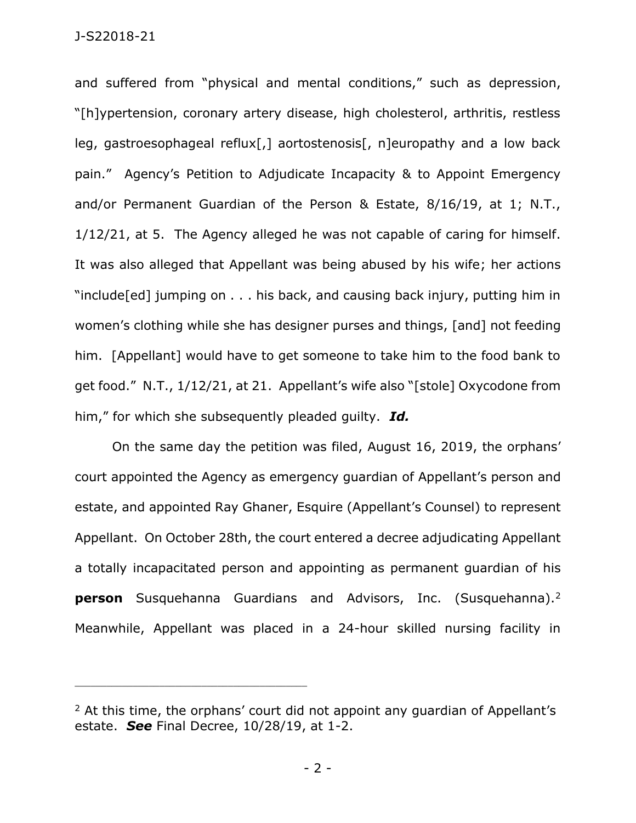## J-S22018-21

and suffered from "physical and mental conditions," such as depression, "[h]ypertension, coronary artery disease, high cholesterol, arthritis, restless leg, gastroesophageal reflux[,] aortostenosis[, n]europathy and a low back pain." Agency's Petition to Adjudicate Incapacity & to Appoint Emergency and/or Permanent Guardian of the Person & Estate, 8/16/19, at 1; N.T., 1/12/21, at 5. The Agency alleged he was not capable of caring for himself. It was also alleged that Appellant was being abused by his wife; her actions "include[ed] jumping on . . . his back, and causing back injury, putting him in women's clothing while she has designer purses and things, [and] not feeding him. [Appellant] would have to get someone to take him to the food bank to get food." N.T., 1/12/21, at 21. Appellant's wife also "[stole] Oxycodone from him," for which she subsequently pleaded guilty. *Id.*

On the same day the petition was filed, August 16, 2019, the orphans' court appointed the Agency as emergency guardian of Appellant's person and estate, and appointed Ray Ghaner, Esquire (Appellant's Counsel) to represent Appellant. On October 28th, the court entered a decree adjudicating Appellant a totally incapacitated person and appointing as permanent guardian of his **person** Susquehanna Guardians and Advisors, Inc. (Susquehanna).<sup>2</sup> Meanwhile, Appellant was placed in a 24-hour skilled nursing facility in

\_\_\_\_\_\_\_\_\_\_\_\_\_\_\_\_\_\_\_\_\_\_\_\_\_\_\_\_\_\_\_\_\_\_\_\_\_\_\_\_\_\_\_\_

- 2 -

 $2$  At this time, the orphans' court did not appoint any quardian of Appellant's estate. *See* Final Decree, 10/28/19, at 1-2.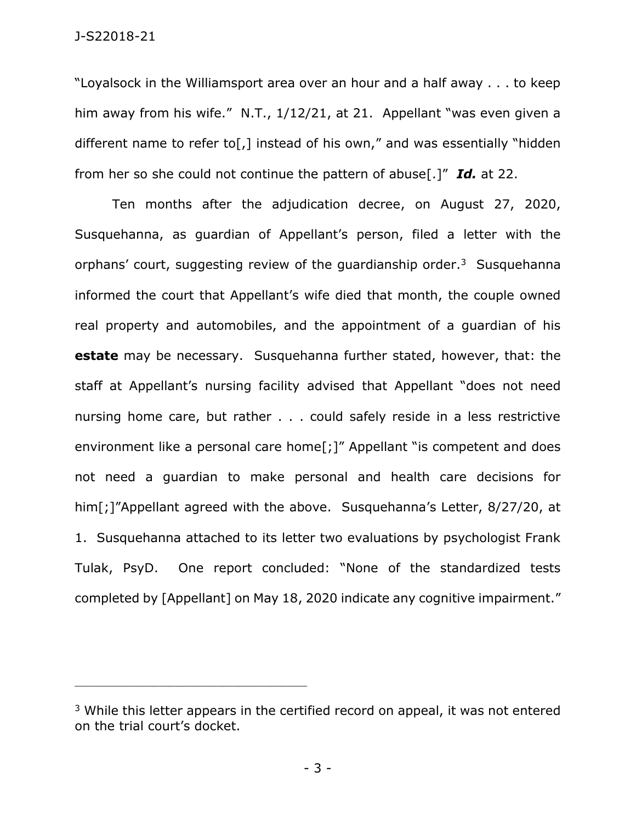J-S22018-21

"Loyalsock in the Williamsport area over an hour and a half away . . . to keep him away from his wife." N.T., 1/12/21, at 21. Appellant "was even given a different name to refer to[,] instead of his own," and was essentially "hidden from her so she could not continue the pattern of abuse[.]" *Id.* at 22.

Ten months after the adjudication decree, on August 27, 2020, Susquehanna, as guardian of Appellant's person, filed a letter with the orphans' court, suggesting review of the guardianship order.<sup>3</sup> Susquehanna informed the court that Appellant's wife died that month, the couple owned real property and automobiles, and the appointment of a guardian of his **estate** may be necessary. Susquehanna further stated, however, that: the staff at Appellant's nursing facility advised that Appellant "does not need nursing home care, but rather . . . could safely reside in a less restrictive environment like a personal care home<sup>[</sup>;<sup>]"</sup> Appellant "is competent and does not need a guardian to make personal and health care decisions for him[;]"Appellant agreed with the above. Susquehanna's Letter, 8/27/20, at 1. Susquehanna attached to its letter two evaluations by psychologist Frank Tulak, PsyD. One report concluded: "None of the standardized tests completed by [Appellant] on May 18, 2020 indicate any cognitive impairment."

\_\_\_\_\_\_\_\_\_\_\_\_\_\_\_\_\_\_\_\_\_\_\_\_\_\_\_\_\_\_\_\_\_\_\_\_\_\_\_\_\_\_\_\_

- 3 -

<sup>&</sup>lt;sup>3</sup> While this letter appears in the certified record on appeal, it was not entered on the trial court's docket.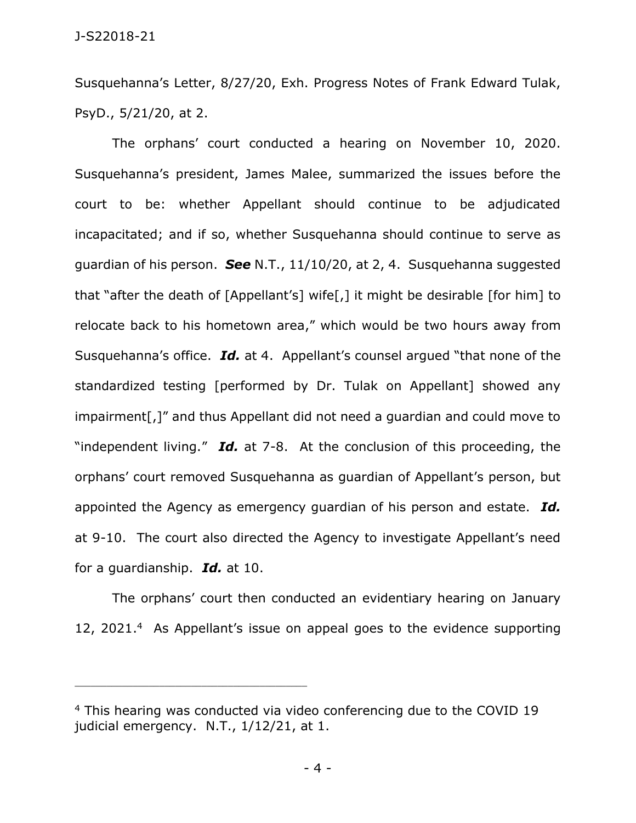Susquehanna's Letter, 8/27/20, Exh. Progress Notes of Frank Edward Tulak, PsyD., 5/21/20, at 2.

The orphans' court conducted a hearing on November 10, 2020. Susquehanna's president, James Malee, summarized the issues before the court to be: whether Appellant should continue to be adjudicated incapacitated; and if so, whether Susquehanna should continue to serve as guardian of his person. *See* N.T., 11/10/20, at 2, 4. Susquehanna suggested that "after the death of [Appellant's] wife[,] it might be desirable [for him] to relocate back to his hometown area," which would be two hours away from Susquehanna's office. *Id.* at 4. Appellant's counsel argued "that none of the standardized testing [performed by Dr. Tulak on Appellant] showed any impairment[,]" and thus Appellant did not need a guardian and could move to "independent living." *Id.* at 7-8. At the conclusion of this proceeding, the orphans' court removed Susquehanna as guardian of Appellant's person, but appointed the Agency as emergency guardian of his person and estate. *Id.* at 9-10. The court also directed the Agency to investigate Appellant's need for a guardianship. *Id.* at 10.

The orphans' court then conducted an evidentiary hearing on January 12, 2021. 4 As Appellant's issue on appeal goes to the evidence supporting

\_\_\_\_\_\_\_\_\_\_\_\_\_\_\_\_\_\_\_\_\_\_\_\_\_\_\_\_\_\_\_\_\_\_\_\_\_\_\_\_\_\_\_\_

- 4 -

<sup>4</sup> This hearing was conducted via video conferencing due to the COVID 19 judicial emergency. N.T., 1/12/21, at 1.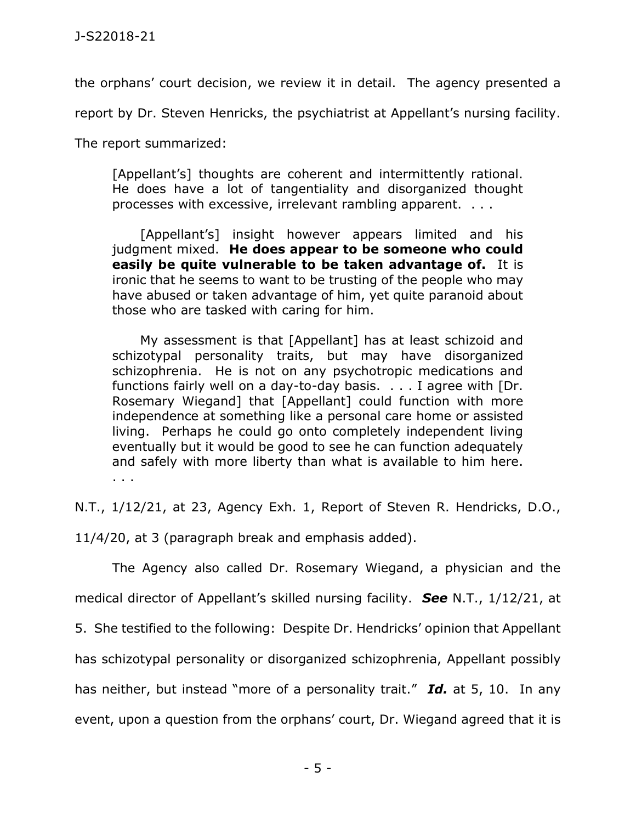the orphans' court decision, we review it in detail. The agency presented a

report by Dr. Steven Henricks, the psychiatrist at Appellant's nursing facility.

The report summarized:

[Appellant's] thoughts are coherent and intermittently rational. He does have a lot of tangentiality and disorganized thought processes with excessive, irrelevant rambling apparent. . . .

[Appellant's] insight however appears limited and his judgment mixed. **He does appear to be someone who could easily be quite vulnerable to be taken advantage of.** It is ironic that he seems to want to be trusting of the people who may have abused or taken advantage of him, yet quite paranoid about those who are tasked with caring for him.

My assessment is that [Appellant] has at least schizoid and schizotypal personality traits, but may have disorganized schizophrenia. He is not on any psychotropic medications and functions fairly well on a day-to-day basis. . . . I agree with [Dr. Rosemary Wiegand] that [Appellant] could function with more independence at something like a personal care home or assisted living. Perhaps he could go onto completely independent living eventually but it would be good to see he can function adequately and safely with more liberty than what is available to him here. . . .

N.T., 1/12/21, at 23, Agency Exh. 1, Report of Steven R. Hendricks, D.O.,

11/4/20, at 3 (paragraph break and emphasis added).

The Agency also called Dr. Rosemary Wiegand, a physician and the medical director of Appellant's skilled nursing facility. *See* N.T., 1/12/21, at

5. She testified to the following: Despite Dr. Hendricks' opinion that Appellant

has schizotypal personality or disorganized schizophrenia, Appellant possibly

has neither, but instead "more of a personality trait." *Id.* at 5, 10. In any

event, upon a question from the orphans' court, Dr. Wiegand agreed that it is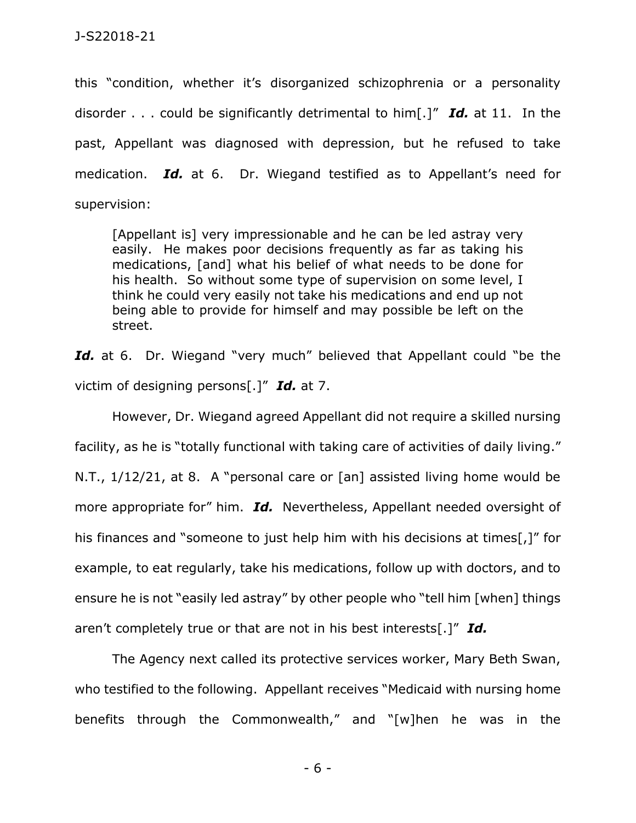this "condition, whether it's disorganized schizophrenia or a personality disorder . . . could be significantly detrimental to him[.]" *Id.* at 11. In the past, Appellant was diagnosed with depression, but he refused to take medication. *Id.* at 6. Dr. Wiegand testified as to Appellant's need for supervision:

[Appellant is] very impressionable and he can be led astray very easily. He makes poor decisions frequently as far as taking his medications, [and] what his belief of what needs to be done for his health. So without some type of supervision on some level, I think he could very easily not take his medications and end up not being able to provide for himself and may possible be left on the street.

Id. at 6. Dr. Wiegand "very much" believed that Appellant could "be the victim of designing persons[.]" *Id.* at 7.

However, Dr. Wiegand agreed Appellant did not require a skilled nursing facility, as he is "totally functional with taking care of activities of daily living." N.T., 1/12/21, at 8. A "personal care or [an] assisted living home would be more appropriate for" him. *Id.* Nevertheless, Appellant needed oversight of his finances and "someone to just help him with his decisions at times[,]" for example, to eat regularly, take his medications, follow up with doctors, and to ensure he is not "easily led astray" by other people who "tell him [when] things aren't completely true or that are not in his best interests[.]" *Id.*

The Agency next called its protective services worker, Mary Beth Swan, who testified to the following. Appellant receives "Medicaid with nursing home benefits through the Commonwealth," and "[w]hen he was in the

- 6 -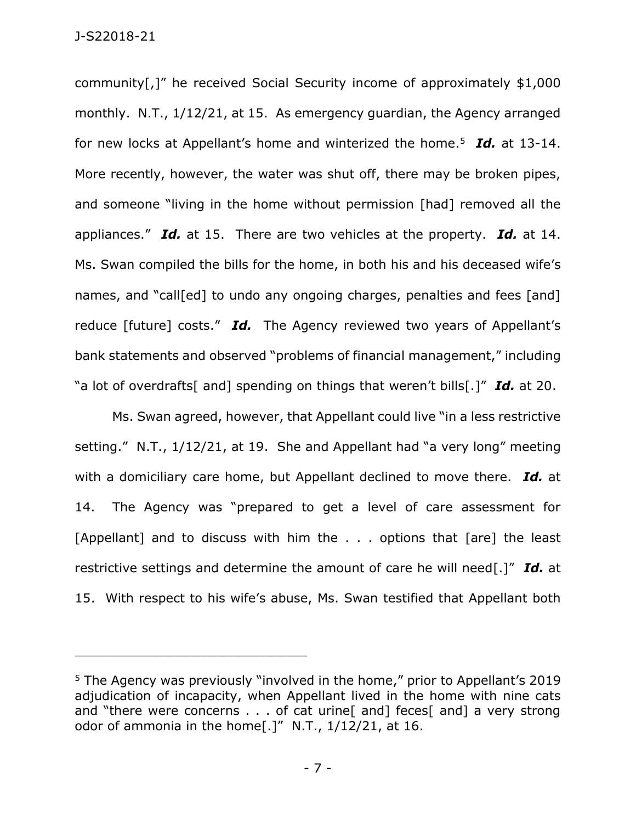community[,]" he received Social Security income of approximately \$1,000 monthly. N.T., 1/12/21, at 15. As emergency guardian, the Agency arranged for new locks at Appellant's home and winterized the home.<sup>5</sup> *Id.* at 13-14. More recently, however, the water was shut off, there may be broken pipes, and someone "living in the home without permission [had] removed all the appliances." *Id.* at 15. There are two vehicles at the property. *Id.* at 14. Ms. Swan compiled the bills for the home, in both his and his deceased wife's names, and "call[ed] to undo any ongoing charges, penalties and fees [and] reduce [future] costs." *Id.* The Agency reviewed two years of Appellant's bank statements and observed "problems of financial management," including "a lot of overdrafts[ and] spending on things that weren't bills[.]" *Id.* at 20.

Ms. Swan agreed, however, that Appellant could live "in a less restrictive setting." N.T., 1/12/21, at 19. She and Appellant had "a very long" meeting with a domiciliary care home, but Appellant declined to move there. *Id.* at 14. The Agency was "prepared to get a level of care assessment for [Appellant] and to discuss with him the . . . options that [are] the least restrictive settings and determine the amount of care he will need[.]" *Id.* at 15. With respect to his wife's abuse, Ms. Swan testified that Appellant both

\_\_\_\_\_\_\_\_\_\_\_\_\_\_\_\_\_\_\_\_\_\_\_\_\_\_\_\_\_\_\_\_\_\_\_\_\_\_\_\_\_\_\_\_

<sup>&</sup>lt;sup>5</sup> The Agency was previously "involved in the home," prior to Appellant's 2019 adjudication of incapacity, when Appellant lived in the home with nine cats and "there were concerns . . . of cat urine [ and ] feces [ and ] a very strong odor of ammonia in the home[.]" N.T., 1/12/21, at 16.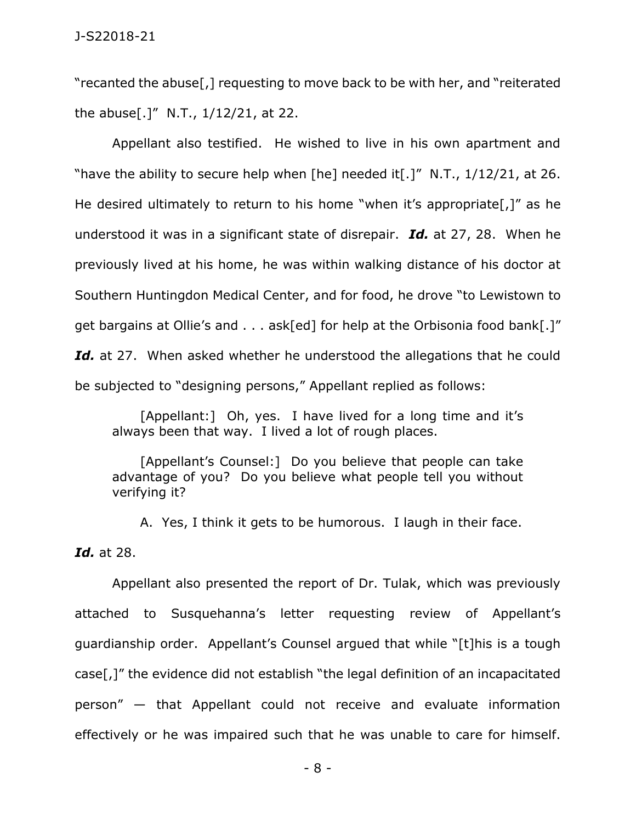"recanted the abuse[,] requesting to move back to be with her, and "reiterated the abuse[.]" N.T.,  $1/12/21$ , at 22.

Appellant also testified. He wished to live in his own apartment and "have the ability to secure help when [he] needed it[.]" N.T.,  $1/12/21$ , at 26. He desired ultimately to return to his home "when it's appropriate[,]" as he understood it was in a significant state of disrepair. *Id.* at 27, 28. When he previously lived at his home, he was within walking distance of his doctor at Southern Huntingdon Medical Center, and for food, he drove "to Lewistown to get bargains at Ollie's and . . . ask[ed] for help at the Orbisonia food bank[.]" Id. at 27. When asked whether he understood the allegations that he could be subjected to "designing persons," Appellant replied as follows:

[Appellant:] Oh, yes. I have lived for a long time and it's always been that way. I lived a lot of rough places.

[Appellant's Counsel:] Do you believe that people can take advantage of you? Do you believe what people tell you without verifying it?

A. Yes, I think it gets to be humorous. I laugh in their face.

*Id.* at 28.

Appellant also presented the report of Dr. Tulak, which was previously attached to Susquehanna's letter requesting review of Appellant's guardianship order. Appellant's Counsel argued that while "[t]his is a tough case[,]" the evidence did not establish "the legal definition of an incapacitated person" — that Appellant could not receive and evaluate information effectively or he was impaired such that he was unable to care for himself.

- 8 -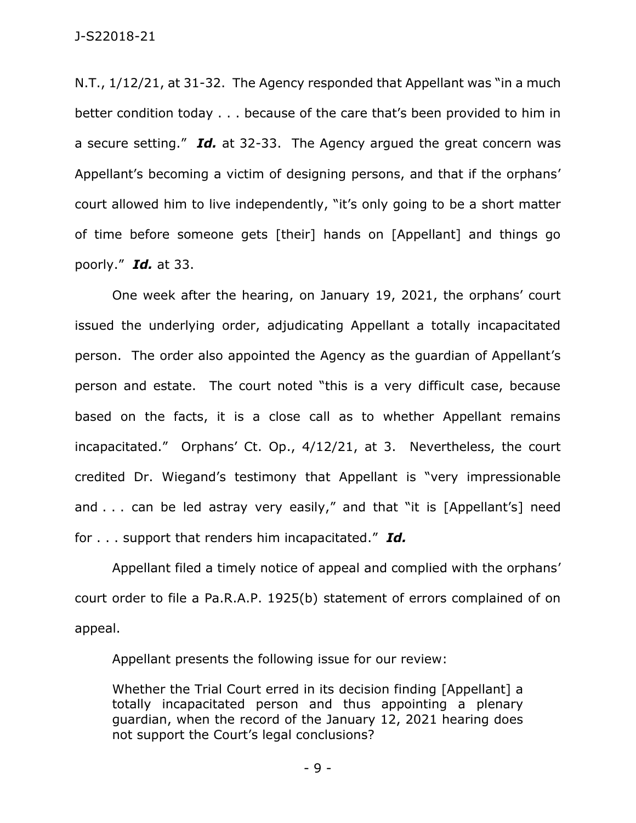N.T., 1/12/21, at 31-32. The Agency responded that Appellant was "in a much better condition today . . . because of the care that's been provided to him in a secure setting." *Id.* at 32-33. The Agency argued the great concern was Appellant's becoming a victim of designing persons, and that if the orphans' court allowed him to live independently, "it's only going to be a short matter of time before someone gets [their] hands on [Appellant] and things go poorly." *Id.* at 33.

One week after the hearing, on January 19, 2021, the orphans' court issued the underlying order, adjudicating Appellant a totally incapacitated person. The order also appointed the Agency as the guardian of Appellant's person and estate. The court noted "this is a very difficult case, because based on the facts, it is a close call as to whether Appellant remains incapacitated." Orphans' Ct. Op., 4/12/21, at 3. Nevertheless, the court credited Dr. Wiegand's testimony that Appellant is "very impressionable and . . . can be led astray very easily," and that "it is [Appellant's] need for . . . support that renders him incapacitated." *Id.*

Appellant filed a timely notice of appeal and complied with the orphans' court order to file a Pa.R.A.P. 1925(b) statement of errors complained of on appeal.

Appellant presents the following issue for our review:

Whether the Trial Court erred in its decision finding [Appellant] a totally incapacitated person and thus appointing a plenary guardian, when the record of the January 12, 2021 hearing does not support the Court's legal conclusions?

- 9 -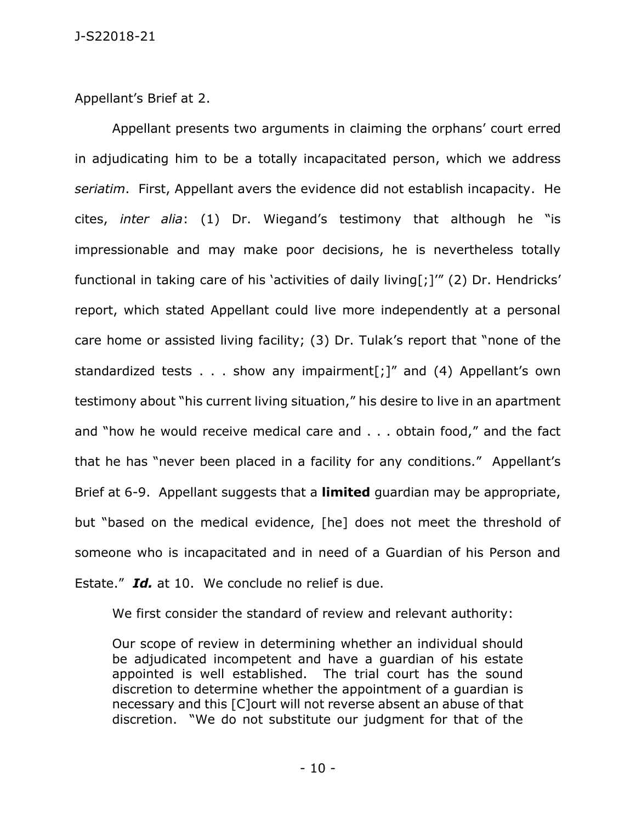Appellant's Brief at 2.

Appellant presents two arguments in claiming the orphans' court erred in adjudicating him to be a totally incapacitated person, which we address *seriatim*. First, Appellant avers the evidence did not establish incapacity. He cites, *inter alia*: (1) Dr. Wiegand's testimony that although he "is impressionable and may make poor decisions, he is nevertheless totally functional in taking care of his 'activities of daily living[;]'" (2) Dr. Hendricks' report, which stated Appellant could live more independently at a personal care home or assisted living facility; (3) Dr. Tulak's report that "none of the standardized tests  $\ldots$  show any impairment[;]" and (4) Appellant's own testimony about "his current living situation," his desire to live in an apartment and "how he would receive medical care and . . . obtain food," and the fact that he has "never been placed in a facility for any conditions." Appellant's Brief at 6-9. Appellant suggests that a **limited** guardian may be appropriate, but "based on the medical evidence, [he] does not meet the threshold of someone who is incapacitated and in need of a Guardian of his Person and Estate." Id. at 10. We conclude no relief is due.

We first consider the standard of review and relevant authority:

Our scope of review in determining whether an individual should be adjudicated incompetent and have a guardian of his estate appointed is well established. The trial court has the sound discretion to determine whether the appointment of a guardian is necessary and this [C]ourt will not reverse absent an abuse of that discretion. "We do not substitute our judgment for that of the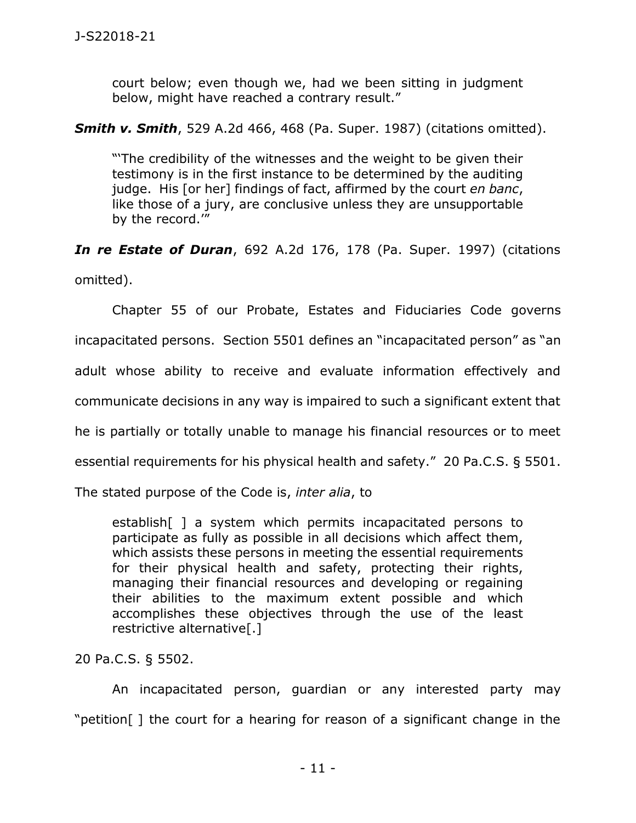court below; even though we, had we been sitting in judgment below, might have reached a contrary result."

## *Smith v. Smith*, 529 A.2d 466, 468 (Pa. Super. 1987) (citations omitted).

"'The credibility of the witnesses and the weight to be given their testimony is in the first instance to be determined by the auditing judge. His [or her] findings of fact, affirmed by the court *en banc*, like those of a jury, are conclusive unless they are unsupportable by the record.'"

*In re Estate of Duran*, 692 A.2d 176, 178 (Pa. Super. 1997) (citations omitted).

Chapter 55 of our Probate, Estates and Fiduciaries Code governs incapacitated persons. Section 5501 defines an "incapacitated person" as "an adult whose ability to receive and evaluate information effectively and communicate decisions in any way is impaired to such a significant extent that he is partially or totally unable to manage his financial resources or to meet essential requirements for his physical health and safety." 20 Pa.C.S. § 5501.

The stated purpose of the Code is, *inter alia*, to

establish[ ] a system which permits incapacitated persons to participate as fully as possible in all decisions which affect them, which assists these persons in meeting the essential requirements for their physical health and safety, protecting their rights, managing their financial resources and developing or regaining their abilities to the maximum extent possible and which accomplishes these objectives through the use of the least restrictive alternative[.]

20 Pa.C.S. § 5502.

An incapacitated person, guardian or any interested party may "petition[ ] the court for a hearing for reason of a significant change in the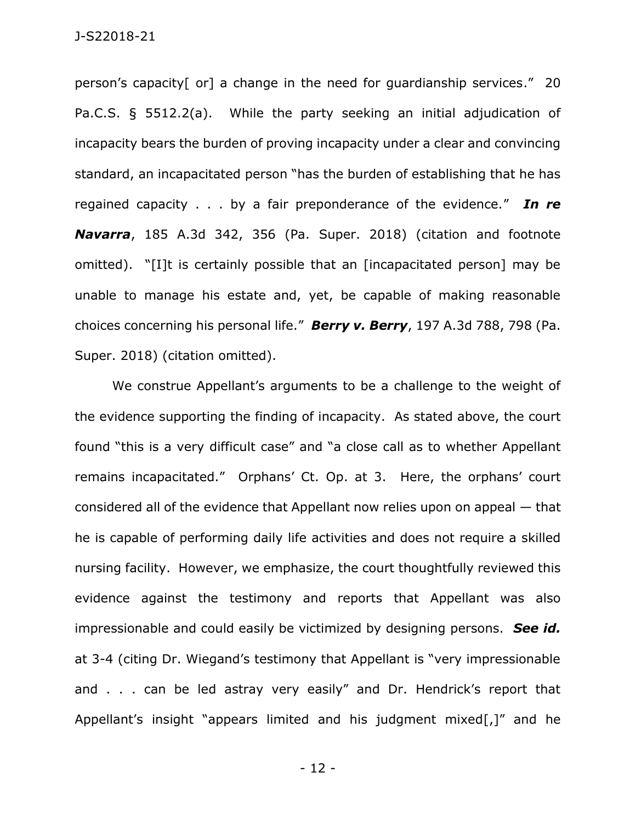person's capacity[ or] a change in the need for guardianship services." 20 Pa.C.S. § 5512.2(a). While the party seeking an initial adjudication of incapacity bears the burden of proving incapacity under a clear and convincing standard, an incapacitated person "has the burden of establishing that he has regained capacity . . . by a fair preponderance of the evidence." *In re Navarra*, 185 A.3d 342, 356 (Pa. Super. 2018) (citation and footnote omitted). "[I]t is certainly possible that an [incapacitated person] may be unable to manage his estate and, yet, be capable of making reasonable choices concerning his personal life." *Berry v. Berry*, 197 A.3d 788, 798 (Pa. Super. 2018) (citation omitted).

We construe Appellant's arguments to be a challenge to the weight of the evidence supporting the finding of incapacity. As stated above, the court found "this is a very difficult case" and "a close call as to whether Appellant remains incapacitated." Orphans' Ct. Op. at 3. Here, the orphans' court considered all of the evidence that Appellant now relies upon on appeal — that he is capable of performing daily life activities and does not require a skilled nursing facility. However, we emphasize, the court thoughtfully reviewed this evidence against the testimony and reports that Appellant was also impressionable and could easily be victimized by designing persons. *See id.* at 3-4 (citing Dr. Wiegand's testimony that Appellant is "very impressionable and . . . can be led astray very easily" and Dr. Hendrick's report that Appellant's insight "appears limited and his judgment mixed[,]" and he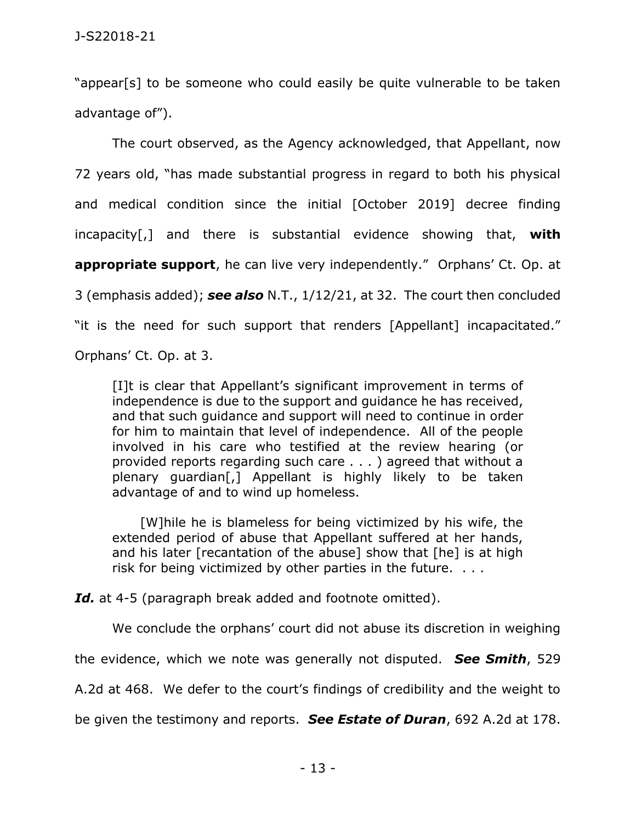"appear[s] to be someone who could easily be quite vulnerable to be taken advantage of").

The court observed, as the Agency acknowledged, that Appellant, now 72 years old, "has made substantial progress in regard to both his physical and medical condition since the initial [October 2019] decree finding incapacity[,] and there is substantial evidence showing that, **with appropriate support**, he can live very independently." Orphans' Ct. Op. at 3 (emphasis added); *see also* N.T., 1/12/21, at 32. The court then concluded "it is the need for such support that renders [Appellant] incapacitated." Orphans' Ct. Op. at 3.

[I]t is clear that Appellant's significant improvement in terms of independence is due to the support and guidance he has received, and that such guidance and support will need to continue in order for him to maintain that level of independence. All of the people involved in his care who testified at the review hearing (or provided reports regarding such care . . . ) agreed that without a plenary guardian[,] Appellant is highly likely to be taken advantage of and to wind up homeless.

[W]hile he is blameless for being victimized by his wife, the extended period of abuse that Appellant suffered at her hands, and his later [recantation of the abuse] show that [he] is at high risk for being victimized by other parties in the future. . . .

*Id.* at 4-5 (paragraph break added and footnote omitted).

We conclude the orphans' court did not abuse its discretion in weighing

the evidence, which we note was generally not disputed. *See Smith*, 529

A.2d at 468. We defer to the court's findings of credibility and the weight to

be given the testimony and reports. *See Estate of Duran*, 692 A.2d at 178.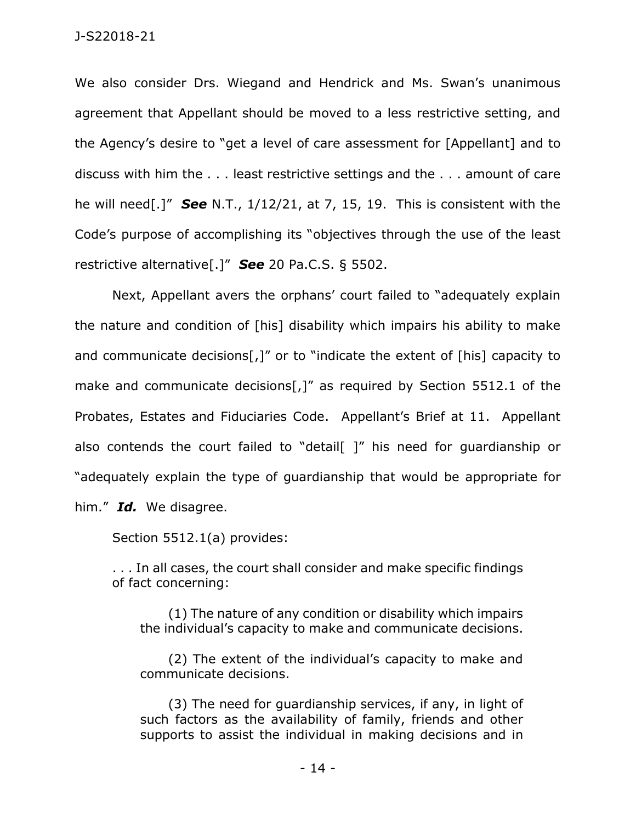We also consider Drs. Wiegand and Hendrick and Ms. Swan's unanimous agreement that Appellant should be moved to a less restrictive setting, and the Agency's desire to "get a level of care assessment for [Appellant] and to discuss with him the . . . least restrictive settings and the . . . amount of care he will need[.]" *See* N.T., 1/12/21, at 7, 15, 19. This is consistent with the Code's purpose of accomplishing its "objectives through the use of the least restrictive alternative[.]" *See* 20 Pa.C.S. § 5502.

Next, Appellant avers the orphans' court failed to "adequately explain the nature and condition of [his] disability which impairs his ability to make and communicate decisions<sup>[,]"</sup> or to "indicate the extent of [his] capacity to make and communicate decisions[,]" as required by Section 5512.1 of the Probates, Estates and Fiduciaries Code. Appellant's Brief at 11. Appellant also contends the court failed to "detail[ ]" his need for quardianship or "adequately explain the type of guardianship that would be appropriate for him." *Id.* We disagree.

Section 5512.1(a) provides:

. . . In all cases, the court shall consider and make specific findings of fact concerning:

(1) The nature of any condition or disability which impairs the individual's capacity to make and communicate decisions.

(2) The extent of the individual's capacity to make and communicate decisions.

(3) The need for guardianship services, if any, in light of such factors as the availability of family, friends and other supports to assist the individual in making decisions and in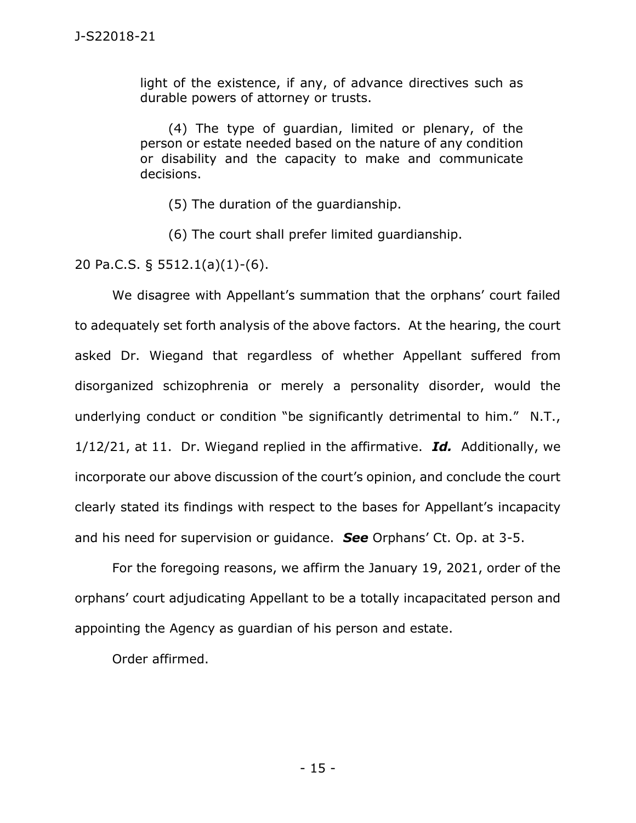light of the existence, if any, of advance directives such as durable powers of attorney or trusts.

(4) The type of guardian, limited or plenary, of the person or estate needed based on the nature of any condition or disability and the capacity to make and communicate decisions.

(5) The duration of the guardianship.

(6) The court shall prefer limited guardianship.

20 Pa.C.S. § 5512.1(a)(1)-(6).

We disagree with Appellant's summation that the orphans' court failed to adequately set forth analysis of the above factors. At the hearing, the court asked Dr. Wiegand that regardless of whether Appellant suffered from disorganized schizophrenia or merely a personality disorder, would the underlying conduct or condition "be significantly detrimental to him." N.T., 1/12/21, at 11. Dr. Wiegand replied in the affirmative. *Id.* Additionally, we incorporate our above discussion of the court's opinion, and conclude the court clearly stated its findings with respect to the bases for Appellant's incapacity and his need for supervision or guidance. *See* Orphans' Ct. Op. at 3-5.

For the foregoing reasons, we affirm the January 19, 2021, order of the orphans' court adjudicating Appellant to be a totally incapacitated person and appointing the Agency as guardian of his person and estate.

Order affirmed.